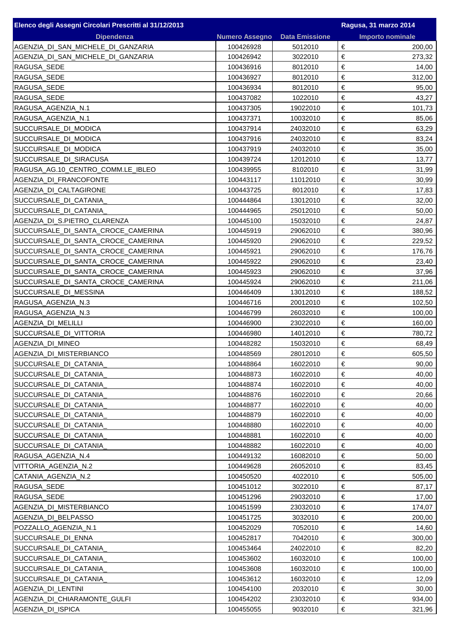| Elenco degli Assegni Circolari Prescritti al 31/12/2013 |                        |                       | Ragusa, 31 marzo 2014   |
|---------------------------------------------------------|------------------------|-----------------------|-------------------------|
| <b>Dipendenza</b>                                       | <b>Numero Assegno</b>  | <b>Data Emissione</b> | <b>Importo nominale</b> |
| AGENZIA DI SAN MICHELE DI GANZARIA                      | 100426928              | 5012010               | €<br>200,00             |
| AGENZIA_DI_SAN_MICHELE_DI_GANZARIA                      | 100426942              | 3022010               | €<br>273,32             |
| RAGUSA_SEDE                                             | 100436916              | 8012010               | €<br>14,00              |
| RAGUSA_SEDE                                             | 100436927              | 8012010               | €<br>312,00             |
| RAGUSA_SEDE                                             | 100436934              | 8012010               | €<br>95,00              |
| RAGUSA_SEDE                                             | 100437082              | 1022010               | €<br>43,27              |
| RAGUSA_AGENZIA_N.1                                      | 100437305              | 19022010              | €<br>101,73             |
| RAGUSA_AGENZIA_N.1                                      | 100437371              | 10032010              | €<br>85,06              |
| SUCCURSALE_DI_MODICA                                    | 100437914              | 24032010              | €<br>63,29              |
| SUCCURSALE_DI_MODICA                                    | 100437916              | 24032010              | €<br>83,24              |
| SUCCURSALE_DI_MODICA                                    | 100437919              | 24032010              | €<br>35,00              |
| SUCCURSALE_DI_SIRACUSA                                  | 100439724              | 12012010              | €<br>13,77              |
| RAGUSA_AG.10_CENTRO_COMM.LE_IBLEO                       | 100439955              | 8102010               | €<br>31,99              |
| AGENZIA_DI_FRANCOFONTE                                  | 100443117              | 11012010              | $\in$<br>30,99          |
| AGENZIA_DI_CALTAGIRONE                                  | 100443725              | 8012010               | €<br>17,83              |
| SUCCURSALE_DI_CATANIA_                                  | 100444864              | 13012010              | €<br>32,00              |
| SUCCURSALE_DI_CATANIA_                                  | 100444965              | 25012010              | €<br>50,00              |
| AGENZIA_DI_S.PIETRO_CLARENZA                            | 100445100              | 15032010              | €<br>24,87              |
| SUCCURSALE_DI_SANTA_CROCE_CAMERINA                      | 100445919              | 29062010              | €<br>380,96             |
| SUCCURSALE_DI_SANTA_CROCE_CAMERINA                      | 100445920              | 29062010              | €<br>229,52             |
| SUCCURSALE_DI_SANTA_CROCE_CAMERINA                      | 100445921              | 29062010              | €<br>176,76             |
| SUCCURSALE_DI_SANTA_CROCE_CAMERINA                      | 100445922              | 29062010              | €<br>23,40              |
| SUCCURSALE_DI_SANTA_CROCE_CAMERINA                      | 100445923              | 29062010              | €<br>37,96              |
| SUCCURSALE_DI_SANTA_CROCE_CAMERINA                      | 100445924              | 29062010              | €<br>211,06             |
| SUCCURSALE_DI_MESSINA                                   | 100446409              | 13012010              | €<br>188,52             |
| RAGUSA_AGENZIA_N.3                                      | 100446716              | 20012010              | €<br>102,50             |
| RAGUSA_AGENZIA_N.3                                      | 100446799              | 26032010              | €<br>100,00             |
| AGENZIA_DI_MELILLI                                      | 100446900              | 23022010              | €<br>160,00             |
| SUCCURSALE_DI_VITTORIA                                  | 100446980              | 14012010              | €<br>780,72             |
| AGENZIA_DI_MINEO                                        | 100448282              | 15032010              | €<br>68,49              |
| AGENZIA_DI_MISTERBIANCO                                 | 100448569              | 28012010              | €<br>605,50             |
| SUCCURSALE_DI_CATANIA_                                  | 100448864              | 16022010              | €<br>90,00              |
| SUCCURSALE_DI_CATANIA_                                  | 100448873              | 16022010              | €<br>40,00              |
| SUCCURSALE DI CATANIA                                   | 100448874              | 16022010              | €<br>40,00              |
| SUCCURSALE_DI_CATANIA_                                  | 100448876              | 16022010              | €<br>20,66              |
| SUCCURSALE_DI_CATANIA_                                  | 100448877              | 16022010              | €<br>40,00              |
| SUCCURSALE_DI_CATANIA_                                  | 100448879              | 16022010              | €<br>40,00              |
| SUCCURSALE_DI_CATANIA_                                  | 100448880              | 16022010              | €<br>40,00              |
| SUCCURSALE_DI_CATANIA_                                  | 100448881              | 16022010              | €<br>40,00              |
| SUCCURSALE_DI_CATANIA_                                  | 100448882              | 16022010              | €<br>40,00              |
| RAGUSA_AGENZIA_N.4                                      | 100449132              | 16082010              | €<br>50,00              |
| VITTORIA_AGENZIA_N.2                                    | 100449628              | 26052010              | €<br>83,45              |
| CATANIA AGENZIA N.2                                     | 100450520              | 4022010               | €<br>505,00             |
| RAGUSA_SEDE                                             | 100451012              | 3022010               | €<br>87,17              |
| RAGUSA_SEDE                                             | 100451296              | 29032010              | €<br>17,00              |
| AGENZIA_DI_MISTERBIANCO                                 | 100451599              | 23032010              | €<br>174,07             |
| AGENZIA DI BELPASSO                                     | 100451725              | 3032010               | €<br>200,00             |
| POZZALLO_AGENZIA_N.1                                    | 100452029              | 7052010               | €<br>14,60              |
| SUCCURSALE_DI_ENNA                                      | 100452817              | 7042010               | €<br>300,00             |
|                                                         |                        |                       | €                       |
| SUCCURSALE_DI_CATANIA_<br>SUCCURSALE DI CATANIA         | 100453464<br>100453602 | 24022010<br>16032010  | 82,20<br>€<br>100,00    |
|                                                         | 100453608              |                       | €<br>100,00             |
| SUCCURSALE_DI_CATANIA_<br>SUCCURSALE_DI_CATANIA_        | 100453612              | 16032010<br>16032010  | €<br>12,09              |
|                                                         |                        |                       | €                       |
| AGENZIA DI LENTINI<br>AGENZIA_DI_CHIARAMONTE_GULFI      | 100454100<br>100454202 | 2032010<br>23032010   | 30,00<br>€<br>934,00    |
| AGENZIA_DI_ISPICA                                       | 100455055              | 9032010               | €<br>321,96             |
|                                                         |                        |                       |                         |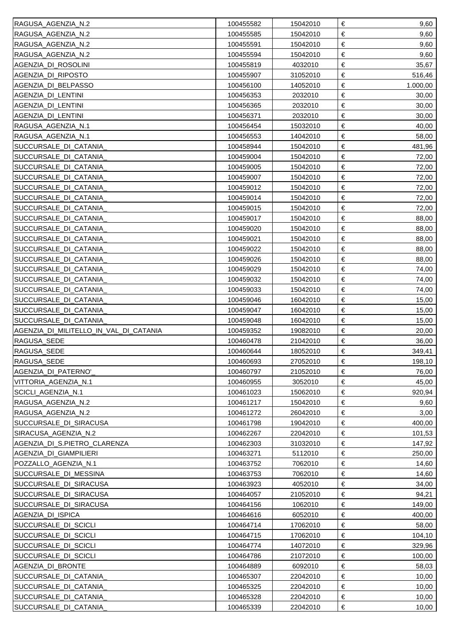| RAGUSA_AGENZIA_N.2                     | 100455582 | 15042010 | €<br>9,60       |
|----------------------------------------|-----------|----------|-----------------|
| RAGUSA_AGENZIA_N.2                     | 100455585 | 15042010 | €<br>9,60       |
| RAGUSA_AGENZIA_N.2                     | 100455591 | 15042010 | €<br>9,60       |
| RAGUSA_AGENZIA_N.2                     | 100455594 | 15042010 | $\in$<br>9,60   |
| AGENZIA_DI_ROSOLINI                    | 100455819 | 4032010  | €<br>35,67      |
| AGENZIA DI RIPOSTO                     | 100455907 | 31052010 | $\in$<br>516,46 |
| AGENZIA DI BELPASSO                    | 100456100 | 14052010 | €<br>1.000,00   |
| AGENZIA DI LENTINI                     | 100456353 | 2032010  | $\in$<br>30,00  |
| AGENZIA DI LENTINI                     | 100456365 | 2032010  | €<br>30,00      |
| AGENZIA_DI_LENTINI                     | 100456371 | 2032010  | $\in$<br>30,00  |
| RAGUSA_AGENZIA_N.1                     | 100456454 | 15032010 | $\in$<br>40,00  |
| RAGUSA_AGENZIA_N.1                     | 100456553 | 14042010 | €<br>58,00      |
| SUCCURSALE_DI_CATANIA_                 | 100458944 | 15042010 | $\in$<br>481,96 |
| SUCCURSALE_DI_CATANIA                  | 100459004 | 15042010 | $\in$<br>72,00  |
| SUCCURSALE_DI_CATANIA                  | 100459005 | 15042010 | $\in$<br>72,00  |
| SUCCURSALE_DI_CATANIA                  | 100459007 | 15042010 | $\in$<br>72,00  |
| SUCCURSALE_DI_CATANIA_                 | 100459012 | 15042010 | $\in$<br>72,00  |
| SUCCURSALE_DI_CATANIA_                 | 100459014 | 15042010 | $\in$<br>72,00  |
| SUCCURSALE_DI_CATANIA_                 | 100459015 | 15042010 | $\in$<br>72,00  |
| SUCCURSALE_DI_CATANIA                  | 100459017 | 15042010 | €<br>88,00      |
| SUCCURSALE_DI_CATANIA_                 | 100459020 | 15042010 | $\in$<br>88,00  |
| SUCCURSALE_DI_CATANIA_                 | 100459021 | 15042010 | €<br>88,00      |
| SUCCURSALE_DI_CATANIA                  | 100459022 | 15042010 | $\in$<br>88,00  |
| SUCCURSALE_DI_CATANIA_                 | 100459026 | 15042010 | €<br>88,00      |
| SUCCURSALE_DI_CATANIA_                 | 100459029 | 15042010 | €<br>74,00      |
| SUCCURSALE_DI_CATANIA                  | 100459032 | 15042010 | €<br>74,00      |
| SUCCURSALE_DI_CATANIA_                 | 100459033 | 15042010 | €<br>74,00      |
| SUCCURSALE_DI_CATANIA_                 | 100459046 | 16042010 | €<br>15,00      |
| SUCCURSALE_DI_CATANIA_                 | 100459047 | 16042010 | €<br>15,00      |
| SUCCURSALE_DI_CATANIA_                 | 100459048 | 16042010 | €<br>15,00      |
| AGENZIA_DI_MILITELLO_IN_VAL_DI_CATANIA | 100459352 | 19082010 | €<br>20,00      |
| RAGUSA_SEDE                            | 100460478 | 21042010 | €<br>36,00      |
| RAGUSA_SEDE                            | 100460644 | 18052010 | €<br>349,41     |
| RAGUSA_SEDE                            | 100460693 | 27052010 | €<br>198,10     |
| AGENZIA_DI_PATERNO'                    | 100460797 | 21052010 | €<br>76,00      |
| VITTORIA_AGENZIA_N.1                   | 100460955 | 3052010  | €<br>45,00      |
| SCICLI_AGENZIA_N.1                     | 100461023 | 15062010 | €<br>920,94     |
| RAGUSA_AGENZIA_N.2                     | 100461217 | 15042010 | €<br>9,60       |
| RAGUSA_AGENZIA_N.2                     | 100461272 | 26042010 | €<br>3,00       |
| SUCCURSALE_DI_SIRACUSA                 | 100461798 | 19042010 | €<br>400,00     |
| SIRACUSA_AGENZIA_N.2                   | 100462267 | 22042010 | €<br>101,53     |
| AGENZIA_DI_S.PIETRO_CLARENZA           | 100462303 | 31032010 | €<br>147,92     |
| AGENZIA_DI_GIAMPILIERI                 | 100463271 | 5112010  | €<br>250,00     |
| POZZALLO_AGENZIA_N.1                   | 100463752 | 7062010  | €<br>14,60      |
| SUCCURSALE_DI_MESSINA                  | 100463753 | 7062010  | €<br>14,60      |
| SUCCURSALE_DI_SIRACUSA                 | 100463923 | 4052010  | €<br>34,00      |
| SUCCURSALE_DI_SIRACUSA                 | 100464057 | 21052010 | €<br>94,21      |
| SUCCURSALE_DI_SIRACUSA                 | 100464156 | 1062010  | €<br>149,00     |
| AGENZIA DI ISPICA                      | 100464616 | 6052010  | €<br>400,00     |
| SUCCURSALE_DI_SCICLI                   | 100464714 | 17062010 | €<br>58,00      |
| SUCCURSALE_DI_SCICLI                   | 100464715 | 17062010 | €<br>104,10     |
| SUCCURSALE_DI_SCICLI                   | 100464774 | 14072010 | €<br>329,96     |
| SUCCURSALE DI SCICLI                   | 100464786 | 21072010 | €<br>100,00     |
| AGENZIA_DI_BRONTE                      | 100464889 | 6092010  | €<br>58,03      |
| SUCCURSALE_DI_CATANIA_                 | 100465307 | 22042010 | €<br>10,00      |
| SUCCURSALE_DI_CATANIA_                 | 100465325 | 22042010 | €<br>10,00      |
| SUCCURSALE_DI_CATANIA                  | 100465328 | 22042010 | €<br>10,00      |
| SUCCURSALE_DI_CATANIA_                 | 100465339 | 22042010 | €<br>10,00      |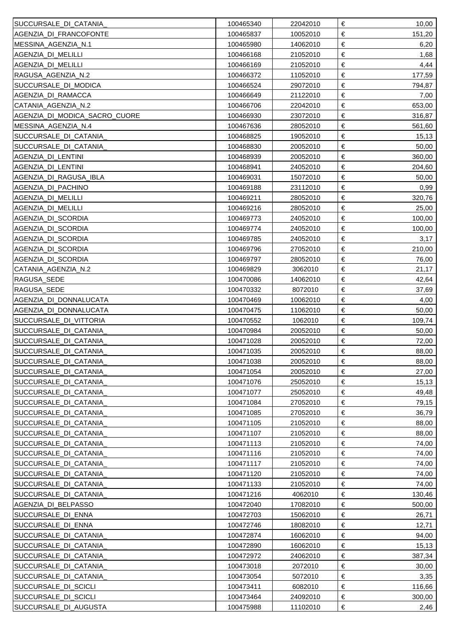| SUCCURSALE_DI_CATANIA_        | 100465340 | 22042010 | €<br>10,00      |
|-------------------------------|-----------|----------|-----------------|
| AGENZIA_DI_FRANCOFONTE        | 100465837 | 10052010 | €<br>151,20     |
| MESSINA_AGENZIA_N.1           | 100465980 | 14062010 | €<br>6,20       |
| AGENZIA_DI_MELILLI            | 100466168 | 21052010 | $\in$<br>1,68   |
| AGENZIA_DI_MELILLI            | 100466169 | 21052010 | €<br>4,44       |
| RAGUSA_AGENZIA_N.2            | 100466372 | 11052010 | $\in$<br>177,59 |
| SUCCURSALE_DI_MODICA          | 100466524 | 29072010 | €<br>794,87     |
| AGENZIA DI RAMACCA            | 100466649 | 21122010 | $\in$<br>7,00   |
| CATANIA AGENZIA N.2           | 100466706 | 22042010 | €<br>653,00     |
| AGENZIA_DI_MODICA_SACRO_CUORE | 100466930 | 23072010 | $\in$<br>316,87 |
| MESSINA_AGENZIA_N.4           | 100467636 | 28052010 | $\in$<br>561,60 |
| SUCCURSALE_DI_CATANIA_        | 100468825 | 19052010 | $\in$<br>15,13  |
| SUCCURSALE_DI_CATANIA_        | 100468830 | 20052010 | $\in$<br>50,00  |
| AGENZIA_DI_LENTINI            | 100468939 | 20052010 | $\in$<br>360,00 |
| AGENZIA DI LENTINI            | 100468941 | 24052010 | $\in$<br>204,60 |
| AGENZIA_DI_RAGUSA_IBLA        | 100469031 | 15072010 | $\in$<br>50,00  |
| AGENZIA_DI_PACHINO            | 100469188 | 23112010 | $\in$<br>0,99   |
| AGENZIA_DI_MELILLI            | 100469211 | 28052010 | $\in$<br>320,76 |
| AGENZIA_DI_MELILLI            | 100469216 | 28052010 | $\in$<br>25,00  |
| AGENZIA_DI_SCORDIA            | 100469773 | 24052010 | €<br>100,00     |
| AGENZIA DI SCORDIA            | 100469774 | 24052010 | $\in$<br>100,00 |
| AGENZIA DI SCORDIA            | 100469785 | 24052010 | $\in$<br>3,17   |
| AGENZIA DI SCORDIA            | 100469796 | 27052010 | $\in$<br>210,00 |
| AGENZIA_DI_SCORDIA            | 100469797 | 28052010 | €<br>76,00      |
| CATANIA AGENZIA N.2           | 100469829 | 3062010  | €<br>21,17      |
| RAGUSA_SEDE                   | 100470086 | 14062010 | €<br>42,64      |
| RAGUSA_SEDE                   | 100470332 | 8072010  | €<br>37,69      |
| AGENZIA_DI_DONNALUCATA        | 100470469 | 10062010 | €<br>4,00       |
| AGENZIA DI DONNALUCATA        | 100470475 | 11062010 | €<br>50,00      |
| SUCCURSALE_DI_VITTORIA        | 100470552 | 1062010  | €<br>109,74     |
| SUCCURSALE_DI_CATANIA         | 100470984 | 20052010 | €<br>50,00      |
| SUCCURSALE_DI_CATANIA_        | 100471028 | 20052010 | €<br>72,00      |
| SUCCURSALE_DI_CATANIA         | 100471035 | 20052010 | $\in$<br>88,00  |
| SUCCURSALE_DI_CATANIA_        | 100471038 | 20052010 | €<br>88,00      |
| SUCCURSALE_DI_CATANIA         | 100471054 | 20052010 | €<br>27,00      |
| SUCCURSALE_DI_CATANIA         | 100471076 | 25052010 | €<br>15, 13     |
| SUCCURSALE_DI_CATANIA_        | 100471077 | 25052010 | €<br>49,48      |
| SUCCURSALE_DI_CATANIA_        | 100471084 | 27052010 | €<br>79,15      |
| SUCCURSALE_DI_CATANIA_        | 100471085 | 27052010 | €<br>36,79      |
| SUCCURSALE_DI_CATANIA         | 100471105 | 21052010 | €<br>88,00      |
| SUCCURSALE_DI_CATANIA_        | 100471107 | 21052010 | €<br>88,00      |
| SUCCURSALE_DI_CATANIA_        | 100471113 | 21052010 | €<br>74,00      |
| SUCCURSALE_DI_CATANIA_        | 100471116 | 21052010 | €<br>74,00      |
| SUCCURSALE_DI_CATANIA_        | 100471117 | 21052010 | €<br>74,00      |
| SUCCURSALE_DI_CATANIA_        | 100471120 | 21052010 | €<br>74,00      |
| SUCCURSALE_DI_CATANIA_        | 100471133 | 21052010 | €<br>74,00      |
| SUCCURSALE_DI_CATANIA_        | 100471216 | 4062010  | €<br>130,46     |
| AGENZIA_DI_BELPASSO           | 100472040 | 17082010 | €<br>500,00     |
| SUCCURSALE_DI_ENNA            | 100472703 | 15062010 | €<br>26,71      |
| <b>ISUCCURSALE DI ENNA</b>    | 100472746 | 18082010 | €<br>12,71      |
| SUCCURSALE_DI_CATANIA_        | 100472874 | 16062010 | €<br>94,00      |
| SUCCURSALE_DI_CATANIA         | 100472890 | 16062010 | €<br>15,13      |
| SUCCURSALE_DI_CATANIA_        | 100472972 | 24062010 | €<br>387,34     |
| SUCCURSALE_DI_CATANIA_        | 100473018 | 2072010  | €<br>30,00      |
| SUCCURSALE_DI_CATANIA_        | 100473054 | 5072010  | €<br>3,35       |
| SUCCURSALE_DI_SCICLI          | 100473411 | 6082010  | €<br>116,66     |
| SUCCURSALE_DI_SCICLI          | 100473464 | 24092010 | €<br>300,00     |
| SUCCURSALE_DI_AUGUSTA         | 100475988 | 11102010 | €<br>2,46       |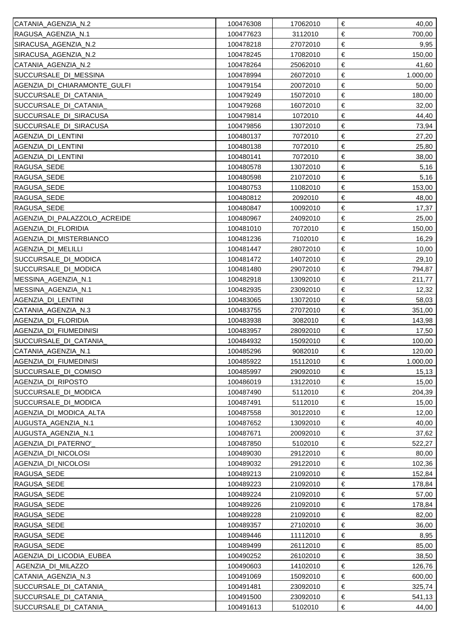| CATANIA AGENZIA N.2          | 100476308 | 17062010 | €<br>40,00        |
|------------------------------|-----------|----------|-------------------|
| RAGUSA_AGENZIA_N.1           | 100477623 | 3112010  | €<br>700,00       |
| SIRACUSA_AGENZIA_N.2         | 100478218 | 27072010 | €<br>9,95         |
| SIRACUSA_AGENZIA_N.2         | 100478245 | 17082010 | $\in$<br>150,00   |
| CATANIA_AGENZIA_N.2          | 100478264 | 25062010 | €<br>41,60        |
| SUCCURSALE_DI_MESSINA        | 100478994 | 26072010 | $\in$<br>1.000,00 |
| AGENZIA_DI_CHIARAMONTE_GULFI | 100479154 | 20072010 | €<br>50,00        |
| SUCCURSALE_DI_CATANIA_       | 100479249 | 15072010 | $\in$<br>180,00   |
| SUCCURSALE_DI_CATANIA_       | 100479268 | 16072010 | €<br>32,00        |
| SUCCURSALE_DI_SIRACUSA       | 100479814 | 1072010  | $\in$<br>44,40    |
| SUCCURSALE_DI_SIRACUSA       | 100479856 | 13072010 | $\in$<br>73,94    |
| AGENZIA_DI_LENTINI           | 100480137 | 7072010  | $\in$<br>27,20    |
| AGENZIA_DI_LENTINI           | 100480138 | 7072010  | $\in$<br>25,80    |
| AGENZIA_DI_LENTINI           | 100480141 | 7072010  | $\in$<br>38,00    |
| RAGUSA_SEDE                  | 100480578 | 13072010 | $\in$<br>5,16     |
| RAGUSA_SEDE                  | 100480598 | 21072010 | $\in$<br>5,16     |
| RAGUSA_SEDE                  | 100480753 | 11082010 | $\in$<br>153,00   |
| RAGUSA_SEDE                  | 100480812 | 2092010  | $\in$<br>48,00    |
| RAGUSA_SEDE                  | 100480847 | 10092010 | $\in$<br>17,37    |
| AGENZIA DI PALAZZOLO ACREIDE | 100480967 | 24092010 | €<br>25,00        |
| AGENZIA DI FLORIDIA          | 100481010 | 7072010  | $\in$<br>150,00   |
| AGENZIA_DI_MISTERBIANCO      | 100481236 | 7102010  | $\in$<br>16,29    |
| AGENZIA DI MELILLI           | 100481447 | 28072010 | $\in$<br>10,00    |
| SUCCURSALE_DI_MODICA         | 100481472 | 14072010 | €<br>29,10        |
| SUCCURSALE_DI_MODICA         | 100481480 | 29072010 | $\in$<br>794,87   |
| MESSINA_AGENZIA_N.1          | 100482918 | 13092010 | $\in$<br>211,77   |
| MESSINA_AGENZIA_N.1          | 100482935 | 23092010 | €<br>12,32        |
| AGENZIA_DI_LENTINI           | 100483065 | 13072010 | €<br>58,03        |
| CATANIA AGENZIA N.3          | 100483755 | 27072010 | €<br>351,00       |
| AGENZIA_DI_FLORIDIA          | 100483938 | 3082010  | €<br>143,98       |
| AGENZIA_DI_FIUMEDINISI       | 100483957 | 28092010 | €<br>17,50        |
| SUCCURSALE_DI_CATANIA_       | 100484932 | 15092010 | €<br>100,00       |
| CATANIA_AGENZIA_N.1          | 100485296 | 9082010  | $\in$<br>120,00   |
| AGENZIA_DI_FIUMEDINISI       | 100485922 | 15112010 | €<br>1.000,00     |
| SUCCURSALE_DI_COMISO         | 100485997 | 29092010 | €<br>15,13        |
| AGENZIA_DI_RIPOSTO           | 100486019 | 13122010 | €<br>15,00        |
| SUCCURSALE_DI_MODICA         | 100487490 | 5112010  | €<br>204,39       |
| SUCCURSALE_DI_MODICA         | 100487491 | 5112010  | €<br>15,00        |
| AGENZIA_DI_MODICA_ALTA       | 100487558 | 30122010 | €<br>12,00        |
| AUGUSTA_AGENZIA_N.1          | 100487652 | 13092010 | €<br>40,00        |
| AUGUSTA AGENZIA N.1          | 100487671 | 20092010 | €<br>37,62        |
| AGENZIA_DI_PATERNO'          | 100487850 | 5102010  | €<br>522,27       |
| AGENZIA_DI_NICOLOSI          | 100489030 | 29122010 | €<br>80,00        |
| AGENZIA_DI_NICOLOSI          | 100489032 | 29122010 | €<br>102,36       |
| RAGUSA_SEDE                  | 100489213 | 21092010 | €<br>152,84       |
| RAGUSA_SEDE                  | 100489223 | 21092010 | €<br>178,84       |
| RAGUSA_SEDE                  | 100489224 | 21092010 | €<br>57,00        |
| RAGUSA_SEDE                  | 100489226 | 21092010 | €<br>178,84       |
| RAGUSA_SEDE                  | 100489228 | 21092010 | €<br>82,00        |
| RAGUSA_SEDE                  | 100489357 | 27102010 | €<br>36,00        |
| RAGUSA_SEDE                  | 100489446 | 11112010 | €<br>8,95         |
| RAGUSA_SEDE                  | 100489499 | 26112010 | €<br>85,00        |
| AGENZIA_DI_LICODIA_EUBEA     | 100490252 | 26102010 | €<br>38,50        |
| AGENZIA_DI_MILAZZO           | 100490603 | 14102010 | €<br>126,76       |
| CATANIA_AGENZIA_N.3          | 100491069 | 15092010 | €<br>600,00       |
| SUCCURSALE_DI_CATANIA        | 100491481 | 23092010 | €<br>325,74       |
| SUCCURSALE_DI_CATANIA        | 100491500 | 23092010 | €<br>541,13       |
| SUCCURSALE_DI_CATANIA        | 100491613 | 5102010  | €<br>44,00        |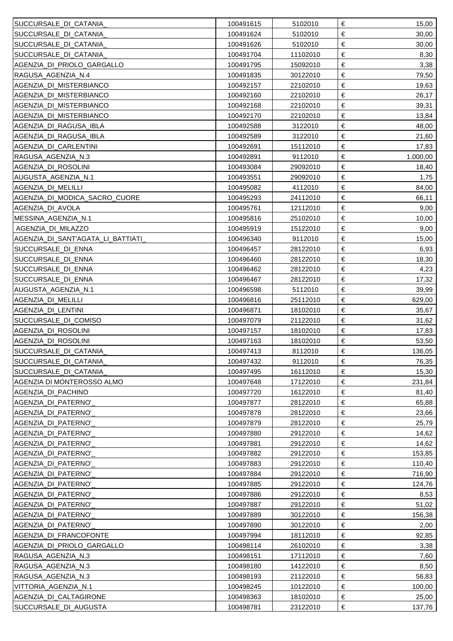| SUCCURSALE_DI_CATANIA_            | 100491615 | 5102010  | €<br>15,00    |
|-----------------------------------|-----------|----------|---------------|
| SUCCURSALE_DI_CATANIA_            | 100491624 | 5102010  | €<br>30,00    |
| SUCCURSALE_DI_CATANIA_            | 100491626 | 5102010  | €<br>30,00    |
| SUCCURSALE_DI_CATANIA_            | 100491704 | 11102010 | €<br>8,30     |
| AGENZIA_DI_PRIOLO_GARGALLO        | 100491795 | 15092010 | €<br>3,38     |
| RAGUSA_AGENZIA_N.4                | 100491835 | 30122010 | €<br>79,50    |
| AGENZIA DI MISTERBIANCO           | 100492157 | 22102010 | €<br>19,63    |
| AGENZIA_DI_MISTERBIANCO           | 100492160 | 22102010 | €<br>26,17    |
| AGENZIA_DI_MISTERBIANCO           | 100492168 | 22102010 | €<br>39,31    |
| AGENZIA_DI_MISTERBIANCO           | 100492170 | 22102010 | €<br>13,84    |
| AGENZIA_DI_RAGUSA_IBLA            | 100492588 | 3122010  | €<br>48,00    |
| AGENZIA_DI_RAGUSA_IBLA            | 100492589 | 3122010  | €<br>21,60    |
| AGENZIA_DI_CARLENTINI             | 100492691 | 15112010 | €<br>17,83    |
| RAGUSA_AGENZIA_N.3                | 100492891 | 9112010  | €<br>1.000,00 |
| AGENZIA_DI_ROSOLINI               | 100493084 | 29092010 | €<br>18,40    |
| AUGUSTA_AGENZIA_N.1               | 100493551 | 29092010 | €<br>1,75     |
| AGENZIA_DI_MELILLI                | 100495082 | 4112010  | €<br>84,00    |
| AGENZIA_DI_MODICA_SACRO_CUORE     | 100495293 | 24112010 | €<br>66,11    |
| AGENZIA_DI_AVOLA                  | 100495761 | 12112010 | €<br>9,00     |
| MESSINA_AGENZIA_N.1               | 100495816 | 25102010 | €<br>10,00    |
| AGENZIA DI MILAZZO                | 100495919 | 15122010 | €<br>9,00     |
| AGENZIA_DI_SANT'AGATA_LI_BATTIATI | 100496340 | 9112010  | €<br>15,00    |
| SUCCURSALE DI ENNA                | 100496457 | 28122010 | €<br>6,93     |
| SUCCURSALE_DI_ENNA                | 100496460 | 28122010 | €<br>18,30    |
| SUCCURSALE_DI_ENNA                | 100496462 | 28122010 | €<br>4,23     |
| SUCCURSALE_DI_ENNA                | 100496467 | 28122010 | €<br>17,32    |
| AUGUSTA_AGENZIA_N.1               | 100496598 | 5112010  | €<br>39,99    |
| AGENZIA_DI_MELILLI                | 100496816 | 25112010 | €<br>629,00   |
| AGENZIA_DI_LENTINI                | 100496871 | 18102010 | €<br>35,67    |
| SUCCURSALE_DI_COMISO              | 100497079 | 21122010 | €<br>31,62    |
| AGENZIA_DI_ROSOLINI               | 100497157 | 18102010 | €<br>17,83    |
| AGENZIA_DI_ROSOLINI               | 100497163 | 18102010 | €<br>53,50    |
| SUCCURSALE_DI_CATANIA             | 100497413 | 8112010  | €<br>136,05   |
| SUCCURSALE_DI_CATANIA_            | 100497432 | 9112010  | €<br>76,35    |
| SUCCURSALE_DI_CATANIA             | 100497495 | 16112010 | €<br>15,30    |
| AGENZIA DI MONTEROSSO ALMO        | 100497648 | 17122010 | €<br>231,84   |
| AGENZIA DI PACHINO                | 100497720 | 16122010 | €<br>81,40    |
| AGENZIA DI PATERNO'               | 100497877 | 28122010 | €<br>65,88    |
| AGENZIA_DI_PATERNO'               | 100497878 | 28122010 | €<br>23,66    |
| AGENZIA_DI_PATERNO'               | 100497879 | 28122010 | €<br>25,79    |
| AGENZIA DI PATERNO'               | 100497880 | 29122010 | €<br>14,62    |
| AGENZIA_DI_PATERNO'               | 100497881 | 29122010 | €<br>14,62    |
| AGENZIA_DI_PATERNO'               | 100497882 | 29122010 | €<br>153,85   |
| AGENZIA DI PATERNO'               | 100497883 | 29122010 | €<br>110,40   |
| AGENZIA DI PATERNO'               | 100497884 | 29122010 | €<br>716,90   |
| AGENZIA DI PATERNO'               | 100497885 | 29122010 | €<br>124,76   |
| AGENZIA_DI_PATERNO'               | 100497886 | 29122010 | €<br>8,53     |
| AGENZIA DI PATERNO'               | 100497887 | 29122010 | €<br>51,02    |
| AGENZIA DI PATERNO'               | 100497889 | 30122010 | €<br>156,38   |
| AGENZIA DI PATERNO'               | 100497890 | 30122010 | €<br>2,00     |
| AGENZIA DI FRANCOFONTE            | 100497994 | 18112010 | €<br>92,85    |
| AGENZIA_DI_PRIOLO_GARGALLO        | 100498114 | 26102010 | €<br>3,38     |
| RAGUSA AGENZIA N.3                | 100498151 | 17112010 | €<br>7,60     |
| RAGUSA_AGENZIA_N.3                | 100498180 | 14122010 | €<br>8,50     |
| RAGUSA_AGENZIA_N.3                | 100498193 | 21122010 | €<br>56,83    |
| VITTORIA_AGENZIA_N.1              | 100498245 | 10122010 | €<br>100,00   |
| AGENZIA_DI_CALTAGIRONE            | 100498363 | 18102010 | €<br>25,00    |
| SUCCURSALE_DI_AUGUSTA             | 100498781 | 23122010 | €<br>137,76   |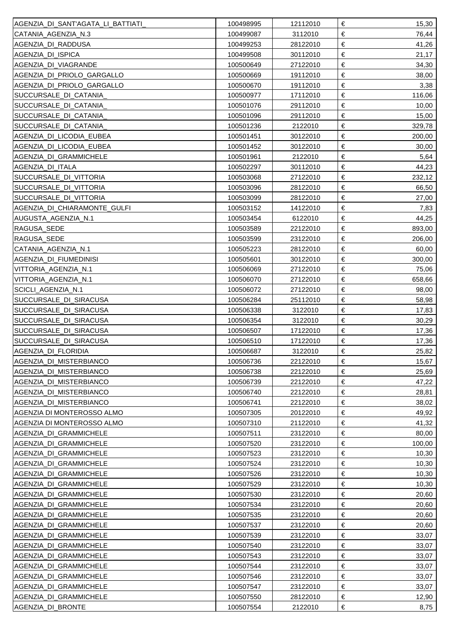| AGENZIA DI SANT'AGATA LI BATTIATI | 100498995 | 12112010 | €<br>15,30      |
|-----------------------------------|-----------|----------|-----------------|
| CATANIA_AGENZIA_N.3               | 100499087 | 3112010  | €<br>76,44      |
| AGENZIA_DI_RADDUSA                | 100499253 | 28122010 | €<br>41,26      |
| AGENZIA_DI_ISPICA                 | 100499508 | 30112010 | €<br>21,17      |
| AGENZIA DI VIAGRANDE              | 100500649 | 27122010 | €<br>34,30      |
| AGENZIA_DI_PRIOLO_GARGALLO        | 100500669 | 19112010 | €<br>38,00      |
| AGENZIA_DI_PRIOLO_GARGALLO        | 100500670 | 19112010 | €<br>3,38       |
| SUCCURSALE_DI_CATANIA_            | 100500977 | 17112010 | €<br>116,06     |
| SUCCURSALE_DI_CATANIA             | 100501076 | 29112010 | €<br>10,00      |
| SUCCURSALE_DI_CATANIA             | 100501096 | 29112010 | €<br>15,00      |
| SUCCURSALE_DI_CATANIA_            | 100501236 | 2122010  | €<br>329,78     |
| AGENZIA_DI_LICODIA_EUBEA          | 100501451 | 30122010 | $\in$<br>200,00 |
| AGENZIA_DI_LICODIA_EUBEA          | 100501452 | 30122010 | €<br>30,00      |
| AGENZIA_DI_GRAMMICHELE            | 100501961 | 2122010  | $\in$<br>5,64   |
| AGENZIA DI ITALA                  | 100502297 | 30112010 | €<br>44,23      |
| SUCCURSALE_DI_VITTORIA            | 100503068 | 27122010 | $\in$<br>232,12 |
| SUCCURSALE_DI_VITTORIA            | 100503096 | 28122010 | €<br>66,50      |
| SUCCURSALE_DI_VITTORIA            | 100503099 | 28122010 | $\in$<br>27,00  |
| AGENZIA_DI_CHIARAMONTE_GULFI      | 100503152 | 14122010 | $\in$<br>7,83   |
| AUGUSTA_AGENZIA_N.1               | 100503454 | 6122010  | $\in$<br>44,25  |
| RAGUSA_SEDE                       | 100503589 | 22122010 | $\in$<br>893,00 |
| RAGUSA_SEDE                       | 100503599 | 23122010 | $\in$<br>206,00 |
| CATANIA_AGENZIA_N.1               | 100505223 | 28122010 | $\in$<br>60,00  |
| AGENZIA DI FIUMEDINISI            | 100505601 | 30122010 | €<br>300,00     |
| VITTORIA AGENZIA N.1              | 100506069 | 27122010 | $\in$<br>75,06  |
| VITTORIA_AGENZIA_N.1              | 100506070 | 27122010 | €<br>658,66     |
| SCICLI_AGENZIA_N.1                | 100506072 | 27122010 | $\in$<br>98,00  |
| SUCCURSALE_DI_SIRACUSA            | 100506284 | 25112010 | €<br>58,98      |
| SUCCURSALE_DI_SIRACUSA            | 100506338 | 3122010  | $\in$<br>17,83  |
| SUCCURSALE_DI_SIRACUSA            | 100506354 | 3122010  | €<br>30,29      |
| SUCCURSALE_DI_SIRACUSA            | 100506507 | 17122010 | €<br>17,36      |
| SUCCURSALE_DI_SIRACUSA            | 100506510 | 17122010 | €<br>17,36      |
| AGENZIA DI FLORIDIA               | 100506687 | 3122010  | €<br>25,82      |
| AGENZIA_DI_MISTERBIANCO           | 100506736 | 22122010 | 15,67<br>€      |
| AGENZIA_DI_MISTERBIANCO           | 100506738 | 22122010 | €<br>25,69      |
| AGENZIA_DI_MISTERBIANCO           | 100506739 | 22122010 | €<br>47,22      |
| AGENZIA_DI_MISTERBIANCO           | 100506740 | 22122010 | €<br>28,81      |
| AGENZIA_DI_MISTERBIANCO           | 100506741 | 22122010 | €<br>38,02      |
| AGENZIA DI MONTEROSSO ALMO        | 100507305 | 20122010 | €<br>49,92      |
| AGENZIA DI MONTEROSSO ALMO        | 100507310 | 21122010 | €<br>41,32      |
| AGENZIA_DI_GRAMMICHELE            | 100507511 | 23122010 | $\in$<br>80,00  |
| AGENZIA_DI_GRAMMICHELE            | 100507520 | 23122010 | €<br>100,00     |
| AGENZIA_DI_GRAMMICHELE            | 100507523 | 23122010 | €<br>10,30      |
| AGENZIA DI GRAMMICHELE            | 100507524 | 23122010 | €<br>10,30      |
| AGENZIA_DI_GRAMMICHELE            | 100507526 | 23122010 | €<br>10,30      |
| AGENZIA_DI_GRAMMICHELE            | 100507529 | 23122010 | €<br>10,30      |
| AGENZIA_DI_GRAMMICHELE            | 100507530 | 23122010 | €<br>20,60      |
| AGENZIA_DI_GRAMMICHELE            | 100507534 | 23122010 | €<br>20,60      |
| AGENZIA_DI_GRAMMICHELE            | 100507535 | 23122010 | €<br>20,60      |
| AGENZIA_DI_GRAMMICHELE            | 100507537 | 23122010 | $\in$<br>20,60  |
| AGENZIA_DI_GRAMMICHELE            | 100507539 | 23122010 | €<br>33,07      |
| AGENZIA_DI_GRAMMICHELE            | 100507540 | 23122010 | €<br>33,07      |
| AGENZIA_DI_GRAMMICHELE            | 100507543 | 23122010 | €<br>33,07      |
| AGENZIA DI GRAMMICHELE            | 100507544 | 23122010 | €<br>33,07      |
| AGENZIA_DI_GRAMMICHELE            | 100507546 | 23122010 | €<br>33,07      |
| AGENZIA_DI_GRAMMICHELE            | 100507547 | 23122010 | €<br>33,07      |
| AGENZIA_DI_GRAMMICHELE            | 100507550 | 28122010 | €<br>12,90      |
| AGENZIA DI BRONTE                 | 100507554 | 2122010  | €<br>8,75       |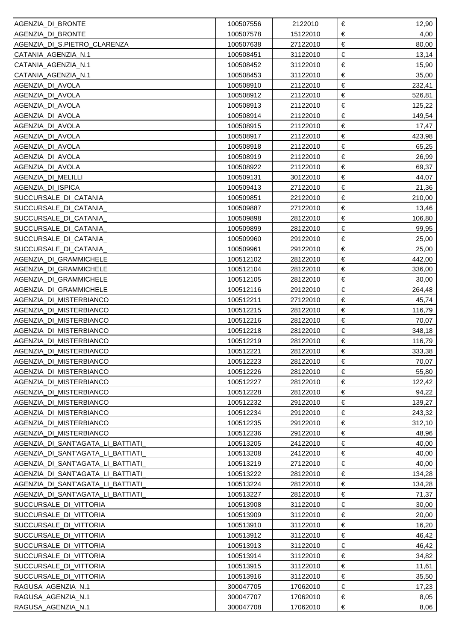| AGENZIA_DI_BRONTE                 | 100507556 | 2122010  | €<br>12,90      |
|-----------------------------------|-----------|----------|-----------------|
| AGENZIA_DI_BRONTE                 | 100507578 | 15122010 | €<br>4,00       |
| AGENZIA DI S.PIETRO CLARENZA      | 100507638 | 27122010 | $\in$<br>80,00  |
| CATANIA_AGENZIA_N.1               | 100508451 | 31122010 | $\in$<br>13,14  |
| CATANIA_AGENZIA_N.1               | 100508452 | 31122010 | €<br>15,90      |
| CATANIA_AGENZIA_N.1               | 100508453 | 31122010 | €<br>35,00      |
| AGENZIA_DI_AVOLA                  | 100508910 | 21122010 | €<br>232,41     |
| AGENZIA DI AVOLA                  | 100508912 | 21122010 | $\in$<br>526,81 |
| AGENZIA_DI_AVOLA                  | 100508913 | 21122010 | €<br>125,22     |
| AGENZIA_DI_AVOLA                  | 100508914 | 21122010 | €<br>149,54     |
| AGENZIA_DI_AVOLA                  | 100508915 | 21122010 | €<br>17,47      |
| AGENZIA DI AVOLA                  | 100508917 | 21122010 | €<br>423,98     |
| AGENZIA DI AVOLA                  | 100508918 | 21122010 | €<br>65,25      |
| AGENZIA DI AVOLA                  | 100508919 | 21122010 | $\in$<br>26,99  |
| AGENZIA DI AVOLA                  | 100508922 | 21122010 | €<br>69,37      |
| AGENZIA DI MELILLI                | 100509131 | 30122010 | €<br>44,07      |
| AGENZIA_DI_ISPICA                 | 100509413 | 27122010 | €<br>21,36      |
| SUCCURSALE_DI_CATANIA_            | 100509851 | 22122010 | €<br>210,00     |
| SUCCURSALE_DI_CATANIA_            | 100509887 | 27122010 | €<br>13,46      |
| SUCCURSALE_DI_CATANIA_            | 100509898 | 28122010 | €<br>106,80     |
| SUCCURSALE_DI_CATANIA_            | 100509899 | 28122010 | €<br>99,95      |
| SUCCURSALE_DI_CATANIA_            | 100509960 | 29122010 | €<br>25,00      |
| SUCCURSALE_DI_CATANIA_            | 100509961 | 29122010 | €<br>25,00      |
| AGENZIA_DI_GRAMMICHELE            | 100512102 | 28122010 | $\in$<br>442,00 |
| AGENZIA_DI_GRAMMICHELE            | 100512104 | 28122010 | €<br>336,00     |
| AGENZIA_DI_GRAMMICHELE            | 100512105 | 28122010 | $\in$<br>30,00  |
| AGENZIA_DI_GRAMMICHELE            | 100512116 | 29122010 | €<br>264,48     |
| AGENZIA_DI_MISTERBIANCO           | 100512211 | 27122010 | $\in$<br>45,74  |
| AGENZIA_DI_MISTERBIANCO           | 100512215 | 28122010 | €<br>116,79     |
| AGENZIA_DI_MISTERBIANCO           | 100512216 | 28122010 | $\in$<br>70,07  |
| AGENZIA_DI_MISTERBIANCO           | 100512218 | 28122010 | $\in$<br>348,18 |
| AGENZIA_DI_MISTERBIANCO           | 100512219 | 28122010 | $\in$<br>116,79 |
| AGENZIA_DI_MISTERBIANCO           | 100512221 | 28122010 | $\in$<br>333,38 |
| AGENZIA_DI_MISTERBIANCO           | 100512223 | 28122010 | 70,07<br>€      |
| AGENZIA_DI_MISTERBIANCO           | 100512226 | 28122010 | €<br>55,80      |
| AGENZIA_DI_MISTERBIANCO           | 100512227 | 28122010 | €<br>122,42     |
| AGENZIA_DI_MISTERBIANCO           | 100512228 | 28122010 | €<br>94,22      |
| AGENZIA_DI_MISTERBIANCO           | 100512232 | 29122010 | €<br>139,27     |
| AGENZIA_DI_MISTERBIANCO           | 100512234 | 29122010 | €<br>243,32     |
| AGENZIA_DI_MISTERBIANCO           | 100512235 | 29122010 | €<br>312,10     |
| AGENZIA DI MISTERBIANCO           | 100512236 | 29122010 | €<br>48,96      |
| AGENZIA_DI_SANT'AGATA_LI_BATTIATI | 100513205 | 24122010 | €<br>40,00      |
| AGENZIA_DI_SANT'AGATA_LI_BATTIATI | 100513208 | 24122010 | €<br>40,00      |
| AGENZIA DI SANT'AGATA LI BATTIATI | 100513219 | 27122010 | €<br>40,00      |
| AGENZIA_DI_SANT'AGATA_LI_BATTIATI | 100513222 | 28122010 | €<br>134,28     |
| AGENZIA DI SANT'AGATA LI BATTIATI | 100513224 | 28122010 | €<br>134,28     |
| AGENZIA_DI_SANT'AGATA_LI_BATTIATI | 100513227 | 28122010 | €<br>71,37      |
| SUCCURSALE_DI_VITTORIA            | 100513908 | 31122010 | €<br>30,00      |
| SUCCURSALE_DI_VITTORIA            | 100513909 | 31122010 | €<br>20,00      |
| SUCCURSALE_DI_VITTORIA            | 100513910 | 31122010 | €<br>16,20      |
| SUCCURSALE_DI_VITTORIA            | 100513912 | 31122010 | €<br>46,42      |
| SUCCURSALE_DI_VITTORIA            | 100513913 | 31122010 | €<br>46,42      |
| SUCCURSALE_DI_VITTORIA            | 100513914 | 31122010 | €<br>34,82      |
| SUCCURSALE_DI_VITTORIA            | 100513915 | 31122010 | €<br>11,61      |
| SUCCURSALE_DI_VITTORIA            | 100513916 | 31122010 | €<br>35,50      |
| RAGUSA AGENZIA N.1                | 300047705 | 17062010 | €<br>17,23      |
| RAGUSA_AGENZIA_N.1                | 300047707 | 17062010 | €<br>8,05       |
| RAGUSA_AGENZIA_N.1                | 300047708 | 17062010 | €<br>8,06       |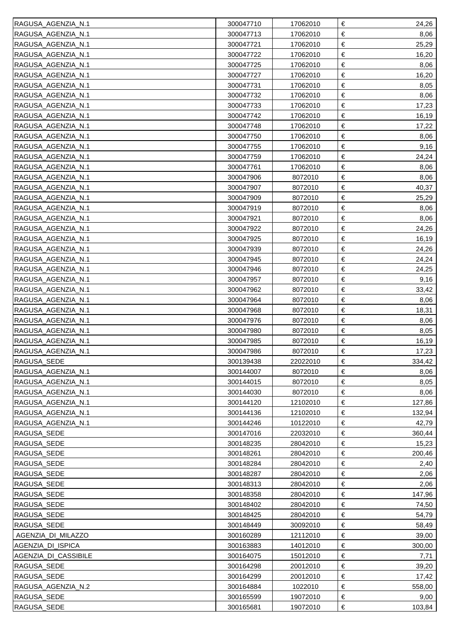| RAGUSA_AGENZIA_N.1   | 300047710              | 17062010             | €<br>24,26          |
|----------------------|------------------------|----------------------|---------------------|
| RAGUSA_AGENZIA_N.1   | 300047713              | 17062010             | €<br>8,06           |
| RAGUSA_AGENZIA_N.1   | 300047721              | 17062010             | €<br>25,29          |
| RAGUSA_AGENZIA_N.1   | 300047722              | 17062010             | €<br>16,20          |
| RAGUSA_AGENZIA_N.1   | 300047725              | 17062010             | €<br>8,06           |
| RAGUSA_AGENZIA_N.1   | 300047727              | 17062010             | $\in$<br>16,20      |
| RAGUSA_AGENZIA_N.1   | 300047731              | 17062010             | €<br>8,05           |
| RAGUSA AGENZIA N.1   | 300047732              | 17062010             | $\in$<br>8,06       |
| RAGUSA AGENZIA N.1   | 300047733              | 17062010             | €<br>17,23          |
| RAGUSA_AGENZIA_N.1   | 300047742              | 17062010             | $\in$<br>16,19      |
| RAGUSA_AGENZIA_N.1   | 300047748              | 17062010             | €<br>17,22          |
| RAGUSA_AGENZIA_N.1   | 300047750              | 17062010             | $\in$<br>8,06       |
| RAGUSA_AGENZIA_N.1   | 300047755              | 17062010             | $\in$<br>9,16       |
| RAGUSA AGENZIA N.1   | 300047759              | 17062010             | €<br>24,24          |
| RAGUSA_AGENZIA_N.1   | 300047761              | 17062010             | €<br>8,06           |
| RAGUSA_AGENZIA_N.1   | 300047906              | 8072010              | $\in$<br>8,06       |
| RAGUSA_AGENZIA_N.1   | 300047907              | 8072010              | $\in$<br>40,37      |
| RAGUSA_AGENZIA_N.1   | 300047909              | 8072010              | €<br>25,29          |
| RAGUSA_AGENZIA_N.1   | 300047919              | 8072010              | $\in$<br>8,06       |
| RAGUSA_AGENZIA_N.1   | 300047921              | 8072010              | €<br>8,06           |
| RAGUSA_AGENZIA_N.1   | 300047922              | 8072010              | $\in$<br>24,26      |
| RAGUSA AGENZIA N.1   | 300047925              | 8072010              | €<br>16,19          |
| RAGUSA_AGENZIA_N.1   | 300047939              | 8072010              | $\in$<br>24,26      |
| RAGUSA_AGENZIA_N.1   | 300047945              | 8072010              | €<br>24,24          |
| RAGUSA AGENZIA N.1   | 300047946              | 8072010              | €<br>24,25          |
| RAGUSA_AGENZIA_N.1   | 300047957              | 8072010              | €<br>9,16           |
| RAGUSA_AGENZIA_N.1   | 300047962              | 8072010              | €<br>33,42          |
| RAGUSA_AGENZIA_N.1   | 300047964              | 8072010              | €<br>8,06           |
| RAGUSA AGENZIA N.1   | 300047968              | 8072010              | €<br>18,31          |
| RAGUSA_AGENZIA_N.1   | 300047976              | 8072010              | €<br>8,06           |
| RAGUSA_AGENZIA_N.1   | 300047980              | 8072010              | €<br>8,05           |
| RAGUSA_AGENZIA_N.1   | 300047985              | 8072010              | €<br>16,19          |
| RAGUSA_AGENZIA_N.1   | 300047986              | 8072010              | €<br>17,23          |
| RAGUSA_SEDE          | 300139438              | 22022010             | €<br>334,42         |
| RAGUSA_AGENZIA_N.1   | 300144007              | 8072010              | €<br>8,06           |
| RAGUSA_AGENZIA_N.1   | 300144015              | 8072010              | €<br>8,05           |
| RAGUSA_AGENZIA_N.1   | 300144030              | 8072010              | €<br>8,06           |
| RAGUSA_AGENZIA_N.1   | 300144120              | 12102010             | €<br>127,86         |
| RAGUSA_AGENZIA_N.1   | 300144136              | 12102010             | €<br>132,94         |
| RAGUSA_AGENZIA_N.1   | 300144246              | 10122010             | €<br>42,79          |
| RAGUSA_SEDE          | 300147016              | 22032010             | €<br>360,44         |
| RAGUSA_SEDE          | 300148235              | 28042010             | €<br>15,23          |
| RAGUSA_SEDE          | 300148261              | 28042010             | €<br>200,46         |
| RAGUSA_SEDE          | 300148284              | 28042010             | €<br>2,40           |
| RAGUSA_SEDE          | 300148287              | 28042010             | €<br>2,06           |
| RAGUSA_SEDE          | 300148313              | 28042010             | €<br>2,06           |
| RAGUSA_SEDE          | 300148358              | 28042010             | €<br>147,96         |
| RAGUSA_SEDE          | 300148402              | 28042010             | €<br>74,50          |
| RAGUSA_SEDE          | 300148425              | 28042010             | €<br>54,79          |
| RAGUSA_SEDE          |                        |                      | €                   |
| AGENZIA DI MILAZZO   | 300148449<br>300160289 | 30092010<br>12112010 | 58,49<br>€<br>39,00 |
| AGENZIA_DI_ISPICA    | 300163883              | 14012010             | €<br>300,00         |
|                      |                        |                      | €                   |
| AGENZIA_DI_CASSIBILE | 300164075              | 15012010             | 7,71<br>€           |
| RAGUSA_SEDE          | 300164298              | 20012010             | 39,20<br>€          |
| RAGUSA_SEDE          | 300164299              | 20012010             | 17,42<br>€          |
| RAGUSA_AGENZIA_N.2   | 300164884              | 1022010              | 558,00<br>€         |
| RAGUSA_SEDE          | 300165599              | 19072010             | 9,00<br>$\in$       |
| RAGUSA_SEDE          | 300165681              | 19072010             | 103,84              |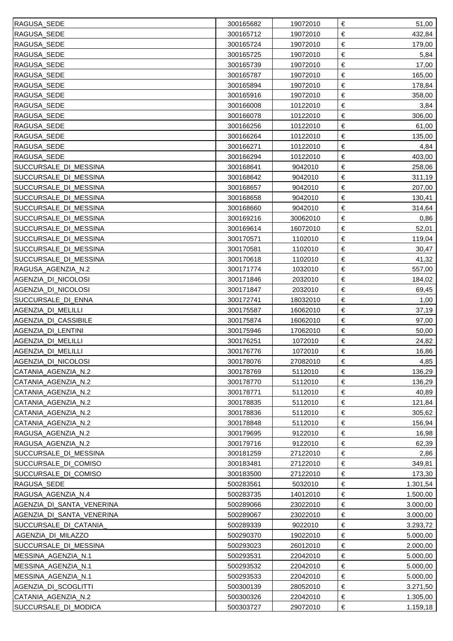| RAGUSA_SEDE               | 300165682 | 19072010 | €<br>51,00      |
|---------------------------|-----------|----------|-----------------|
| RAGUSA_SEDE               | 300165712 | 19072010 | €<br>432,84     |
| RAGUSA_SEDE               | 300165724 | 19072010 | €<br>179,00     |
| RAGUSA_SEDE               | 300165725 | 19072010 | €<br>5,84       |
| RAGUSA_SEDE               | 300165739 | 19072010 | €<br>17,00      |
| RAGUSA_SEDE               | 300165787 | 19072010 | €<br>165,00     |
| RAGUSA_SEDE               | 300165894 | 19072010 | €<br>178,84     |
| RAGUSA_SEDE               | 300165916 | 19072010 | €<br>358,00     |
| <b>RAGUSA SEDE</b>        | 300166008 | 10122010 | €<br>3,84       |
| RAGUSA_SEDE               | 300166078 | 10122010 | $\in$<br>306,00 |
| RAGUSA_SEDE               | 300166256 | 10122010 | €<br>61,00      |
| RAGUSA_SEDE               | 300166264 | 10122010 | €<br>135,00     |
| RAGUSA_SEDE               | 300166271 | 10122010 | €<br>4,84       |
| RAGUSA_SEDE               | 300166294 | 10122010 | €<br>403,00     |
| SUCCURSALE_DI_MESSINA     | 300168641 | 9042010  | €<br>258,06     |
| SUCCURSALE_DI_MESSINA     | 300168642 | 9042010  | €<br>311,19     |
| SUCCURSALE_DI_MESSINA     | 300168657 | 9042010  | €<br>207,00     |
| SUCCURSALE_DI_MESSINA     | 300168658 | 9042010  | €<br>130,41     |
| SUCCURSALE_DI_MESSINA     | 300168660 | 9042010  | €<br>314,64     |
| SUCCURSALE_DI_MESSINA     | 300169216 | 30062010 | €<br>0,86       |
| SUCCURSALE_DI_MESSINA     | 300169614 | 16072010 | $\in$<br>52,01  |
| SUCCURSALE_DI_MESSINA     | 300170571 | 1102010  | €<br>119,04     |
| SUCCURSALE_DI_MESSINA     | 300170581 | 1102010  | €<br>30,47      |
| SUCCURSALE_DI_MESSINA     | 300170618 | 1102010  | €<br>41,32      |
| RAGUSA AGENZIA N.2        | 300171774 | 1032010  | €<br>557,00     |
| AGENZIA_DI_NICOLOSI       | 300171846 | 2032010  | €<br>184,02     |
| AGENZIA_DI_NICOLOSI       | 300171847 | 2032010  | €<br>69,45      |
| SUCCURSALE_DI_ENNA        | 300172741 | 18032010 | €<br>1,00       |
| AGENZIA DI MELILLI        | 300175587 | 16062010 | €<br>37,19      |
| AGENZIA DI CASSIBILE      | 300175874 | 16062010 | €<br>97,00      |
| AGENZIA_DI_LENTINI        | 300175946 | 17062010 | €<br>50,00      |
| AGENZIA DI MELILLI        | 300176251 | 1072010  | €<br>24,82      |
| AGENZIA_DI_MELILLI        | 300176776 | 1072010  | €<br>16,86      |
| AGENZIA_DI_NICOLOSI       | 300178076 | 27082010 | €<br>4,85       |
| CATANIA_AGENZIA_N.2       | 300178769 | 5112010  | €<br>136,29     |
| CATANIA AGENZIA N.2       | 300178770 | 5112010  | €<br>136,29     |
| CATANIA_AGENZIA_N.2       | 300178771 | 5112010  | €<br>40,89      |
| CATANIA AGENZIA N.2       | 300178835 | 5112010  | €<br>121,84     |
| CATANIA_AGENZIA_N.2       | 300178836 | 5112010  | €<br>305,62     |
| CATANIA_AGENZIA_N.2       | 300178848 | 5112010  | €<br>156,94     |
| RAGUSA_AGENZIA_N.2        | 300179695 | 9122010  | €<br>16,98      |
| RAGUSA_AGENZIA_N.2        | 300179716 | 9122010  | €<br>62,39      |
| SUCCURSALE_DI_MESSINA     | 300181259 | 27122010 | €<br>2,86       |
| SUCCURSALE_DI_COMISO      | 300183481 | 27122010 | €<br>349,81     |
| SUCCURSALE_DI_COMISO      | 300183500 | 27122010 | €<br>173,30     |
| RAGUSA_SEDE               | 500283561 | 5032010  | €<br>1.301,54   |
| RAGUSA_AGENZIA_N.4        | 500283735 | 14012010 | €<br>1.500,00   |
| AGENZIA_DI_SANTA_VENERINA | 500289066 | 23022010 | €<br>3.000,00   |
| AGENZIA DI SANTA VENERINA | 500289067 | 23022010 | €<br>3.000,00   |
| SUCCURSALE_DI_CATANIA     | 500289339 | 9022010  | €<br>3.293,72   |
| AGENZIA DI MILAZZO        | 500290370 | 19022010 | €<br>5.000,00   |
| SUCCURSALE_DI_MESSINA     | 500293023 | 26012010 | €<br>2.000,00   |
| MESSINA AGENZIA N.1       | 500293531 | 22042010 | €<br>5.000,00   |
| MESSINA AGENZIA N.1       | 500293532 | 22042010 | €<br>5.000,00   |
| MESSINA_AGENZIA_N.1       | 500293533 | 22042010 | €<br>5.000,00   |
| AGENZIA_DI_SCOGLITTI      | 500300139 | 28052010 | €<br>3.271,50   |
| CATANIA AGENZIA N.2       | 500300326 | 22042010 | €<br>1.305,00   |
| SUCCURSALE_DI_MODICA      | 500303727 | 29072010 | €<br>1.159,18   |